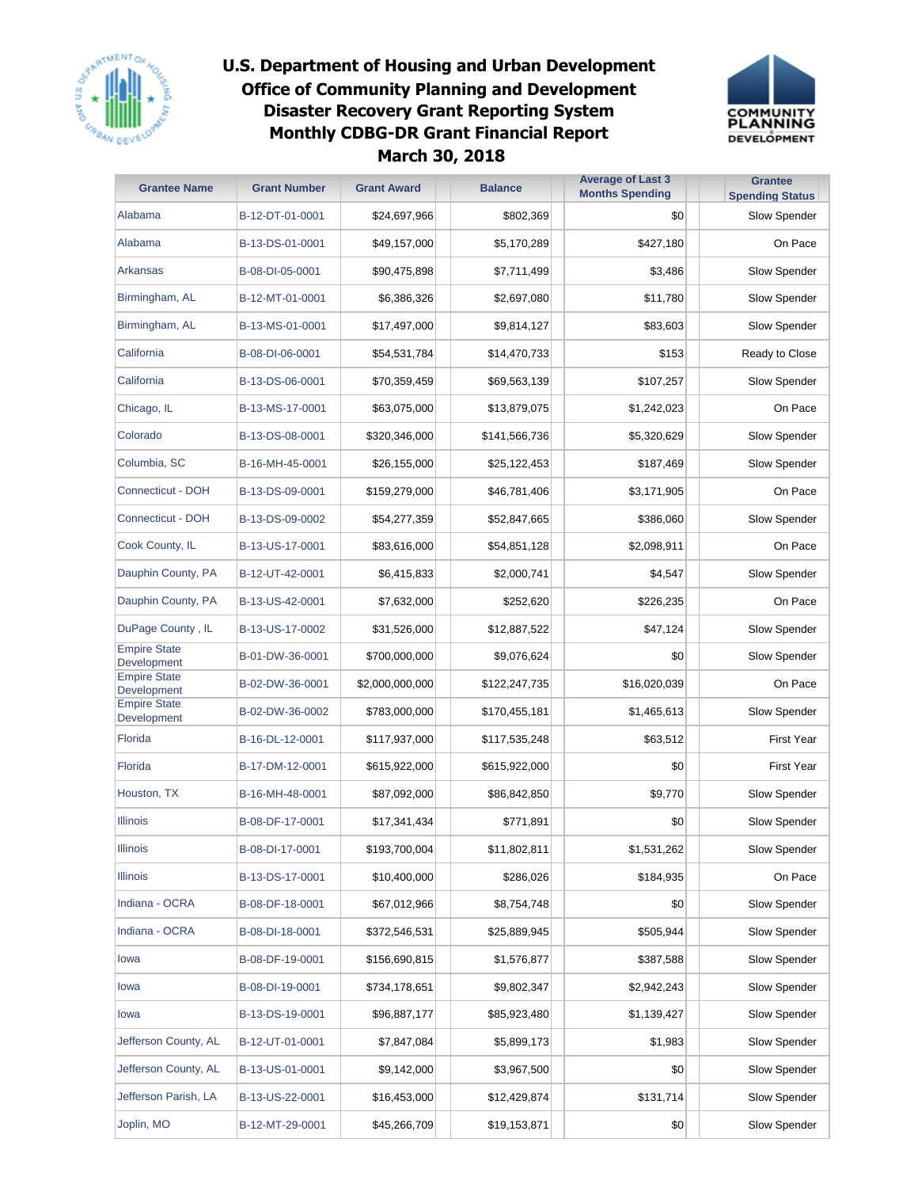



| <b>Grantee Name</b>                | <b>Grant Number</b> | <b>Grant Award</b> | <b>Balance</b> | <b>Average of Last 3</b><br><b>Months Spending</b> | <b>Grantee</b><br><b>Spending Status</b> |
|------------------------------------|---------------------|--------------------|----------------|----------------------------------------------------|------------------------------------------|
| Alabama                            | B-12-DT-01-0001     | \$24,697,966       | \$802,369      | \$0                                                | Slow Spender                             |
| Alabama                            | B-13-DS-01-0001     | \$49,157,000       | \$5,170,289    | \$427,180                                          | On Pace                                  |
| Arkansas                           | B-08-DI-05-0001     | \$90,475,898       | \$7,711,499    | \$3,486                                            | Slow Spender                             |
| Birmingham, AL                     | B-12-MT-01-0001     | \$6,386,326        | \$2,697,080    | \$11,780                                           | Slow Spender                             |
| Birmingham, AL                     | B-13-MS-01-0001     | \$17,497,000       | \$9,814,127    | \$83,603                                           | Slow Spender                             |
| California                         | B-08-DI-06-0001     | \$54,531,784       | \$14,470,733   | \$153                                              | Ready to Close                           |
| California                         | B-13-DS-06-0001     | \$70,359,459       | \$69,563,139   | \$107,257                                          | Slow Spender                             |
| Chicago, IL                        | B-13-MS-17-0001     | \$63,075,000       | \$13,879,075   | \$1,242,023                                        | On Pace                                  |
| Colorado                           | B-13-DS-08-0001     | \$320,346,000      | \$141,566,736  | \$5,320,629                                        | Slow Spender                             |
| Columbia, SC                       | B-16-MH-45-0001     | \$26,155,000       | \$25,122,453   | \$187,469                                          | Slow Spender                             |
| <b>Connecticut - DOH</b>           | B-13-DS-09-0001     | \$159,279,000      | \$46,781,406   | \$3,171,905                                        | On Pace                                  |
| Connecticut - DOH                  | B-13-DS-09-0002     | \$54,277,359       | \$52,847,665   | \$386,060                                          | Slow Spender                             |
| Cook County, IL                    | B-13-US-17-0001     | \$83,616,000       | \$54,851,128   | \$2,098,911                                        | On Pace                                  |
| Dauphin County, PA                 | B-12-UT-42-0001     | \$6,415,833        | \$2,000,741    | \$4,547                                            | Slow Spender                             |
| Dauphin County, PA                 | B-13-US-42-0001     | \$7,632,000        | \$252,620      | \$226,235                                          | On Pace                                  |
| DuPage County, IL                  | B-13-US-17-0002     | \$31,526,000       | \$12,887,522   | \$47,124                                           | Slow Spender                             |
| <b>Empire State</b><br>Development | B-01-DW-36-0001     | \$700,000,000      | \$9,076,624    | \$0                                                | Slow Spender                             |
| <b>Empire State</b><br>Development | B-02-DW-36-0001     | \$2,000,000,000    | \$122,247,735  | \$16,020,039                                       | On Pace                                  |
| <b>Empire State</b><br>Development | B-02-DW-36-0002     | \$783,000,000      | \$170,455,181  | \$1,465,613                                        | Slow Spender                             |
| Florida                            | B-16-DL-12-0001     | \$117,937,000      | \$117,535,248  | \$63,512                                           | <b>First Year</b>                        |
| Florida                            | B-17-DM-12-0001     | \$615,922,000      | \$615,922,000  | \$0                                                | <b>First Year</b>                        |
| Houston, TX                        | B-16-MH-48-0001     | \$87,092,000       | \$86,842,850   | \$9,770                                            | Slow Spender                             |
| <b>Illinois</b>                    | B-08-DF-17-0001     | \$17,341,434       | \$771,891      | \$0                                                | Slow Spender                             |
| Illinois                           | B-08-DI-17-0001     | \$193,700,004      | \$11,802,811   | \$1,531,262                                        | Slow Spender                             |
| <b>Illinois</b>                    | B-13-DS-17-0001     | \$10,400,000       | \$286,026      | \$184,935                                          | On Pace                                  |
| Indiana - OCRA                     | B-08-DF-18-0001     | \$67,012,966       | \$8,754,748    | \$0                                                | Slow Spender                             |
| Indiana - OCRA                     | B-08-DI-18-0001     | \$372,546,531      | \$25,889,945   | \$505,944                                          | Slow Spender                             |
| lowa                               | B-08-DF-19-0001     | \$156,690,815      | \$1,576,877    | \$387,588                                          | Slow Spender                             |
| lowa                               | B-08-DI-19-0001     | \$734,178,651      | \$9,802,347    | \$2,942,243                                        | Slow Spender                             |
| lowa                               | B-13-DS-19-0001     | \$96,887,177       | \$85,923,480   | \$1,139,427                                        | Slow Spender                             |
| Jefferson County, AL               | B-12-UT-01-0001     | \$7,847,084        | \$5,899,173    | \$1,983                                            | Slow Spender                             |
| Jefferson County, AL               | B-13-US-01-0001     | \$9,142,000        | \$3,967,500    | \$0                                                | Slow Spender                             |
| Jefferson Parish, LA               | B-13-US-22-0001     | \$16,453,000       | \$12,429,874   | \$131,714                                          | Slow Spender                             |
| Joplin, MO                         | B-12-MT-29-0001     | \$45,266,709       | \$19,153,871   | \$0                                                | Slow Spender                             |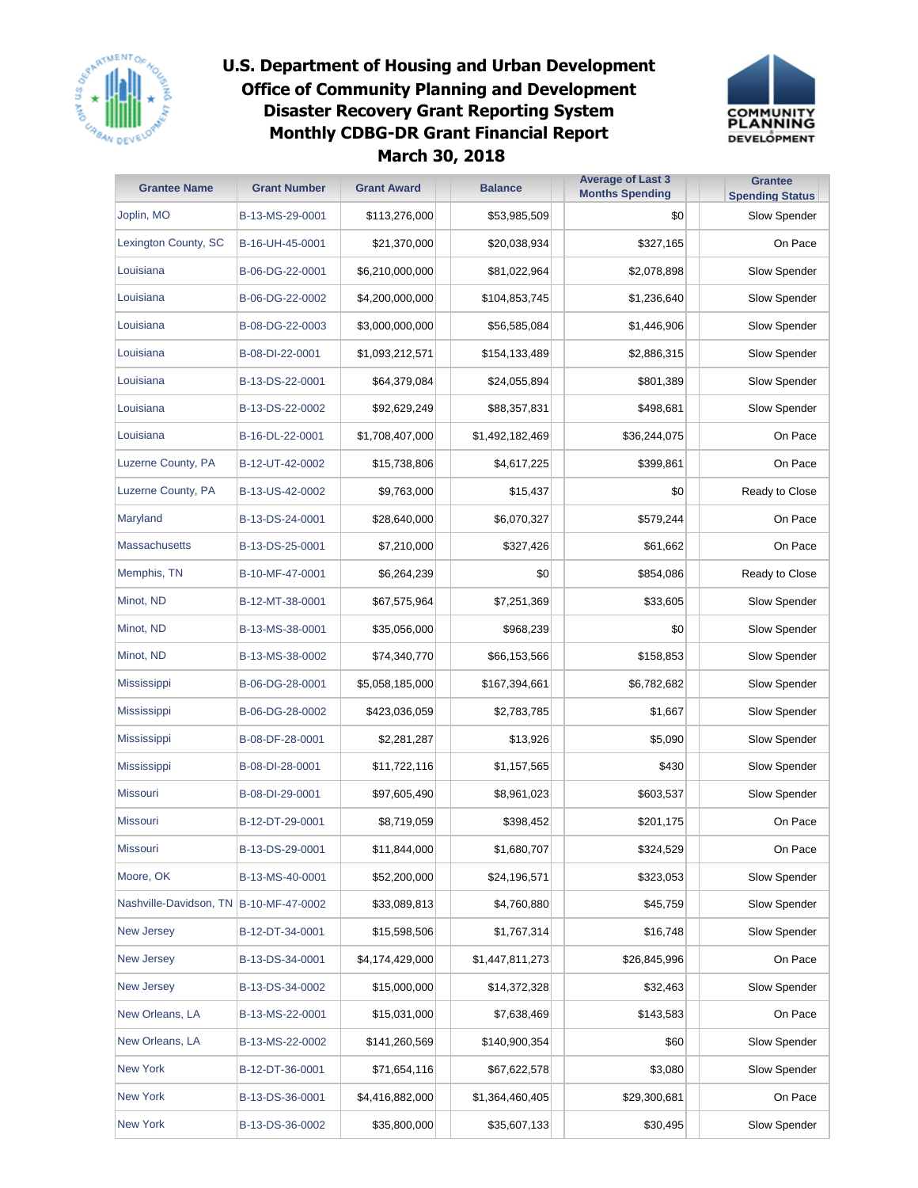



| <b>Grantee Name</b>                      | <b>Grant Number</b> | <b>Grant Award</b> | <b>Balance</b>  | <b>Average of Last 3</b><br><b>Months Spending</b> | <b>Grantee</b><br><b>Spending Status</b> |
|------------------------------------------|---------------------|--------------------|-----------------|----------------------------------------------------|------------------------------------------|
| Joplin, MO                               | B-13-MS-29-0001     | \$113,276,000      | \$53,985,509    | \$0                                                | Slow Spender                             |
| Lexington County, SC                     | B-16-UH-45-0001     | \$21,370,000       | \$20,038,934    | \$327,165                                          | On Pace                                  |
| Louisiana                                | B-06-DG-22-0001     | \$6,210,000,000    | \$81,022,964    | \$2,078,898                                        | Slow Spender                             |
| Louisiana                                | B-06-DG-22-0002     | \$4,200,000,000    | \$104,853,745   | \$1,236,640                                        | Slow Spender                             |
| Louisiana                                | B-08-DG-22-0003     | \$3,000,000,000    | \$56,585,084    | \$1,446,906                                        | Slow Spender                             |
| Louisiana                                | B-08-DI-22-0001     | \$1,093,212,571    | \$154,133,489   | \$2,886,315                                        | Slow Spender                             |
| Louisiana                                | B-13-DS-22-0001     | \$64,379,084       | \$24,055,894    | \$801,389                                          | Slow Spender                             |
| Louisiana                                | B-13-DS-22-0002     | \$92,629,249       | \$88,357,831    | \$498,681                                          | Slow Spender                             |
| Louisiana                                | B-16-DL-22-0001     | \$1,708,407,000    | \$1,492,182,469 | \$36,244,075                                       | On Pace                                  |
| Luzerne County, PA                       | B-12-UT-42-0002     | \$15,738,806       | \$4,617,225     | \$399,861                                          | On Pace                                  |
| Luzerne County, PA                       | B-13-US-42-0002     | \$9,763,000        | \$15,437        | \$0                                                | Ready to Close                           |
| Maryland                                 | B-13-DS-24-0001     | \$28,640,000       | \$6,070,327     | \$579,244                                          | On Pace                                  |
| <b>Massachusetts</b>                     | B-13-DS-25-0001     | \$7,210,000        | \$327,426       | \$61,662                                           | On Pace                                  |
| Memphis, TN                              | B-10-MF-47-0001     | \$6,264,239        | \$0             | \$854,086                                          | Ready to Close                           |
| Minot, ND                                | B-12-MT-38-0001     | \$67,575,964       | \$7,251,369     | \$33,605                                           | Slow Spender                             |
| Minot, ND                                | B-13-MS-38-0001     | \$35,056,000       | \$968,239       | \$0                                                | Slow Spender                             |
| Minot, ND                                | B-13-MS-38-0002     | \$74,340,770       | \$66,153,566    | \$158,853                                          | Slow Spender                             |
| <b>Mississippi</b>                       | B-06-DG-28-0001     | \$5,058,185,000    | \$167,394,661   | \$6,782,682                                        | Slow Spender                             |
| <b>Mississippi</b>                       | B-06-DG-28-0002     | \$423,036,059      | \$2,783,785     | \$1,667                                            | Slow Spender                             |
| <b>Mississippi</b>                       | B-08-DF-28-0001     | \$2,281,287        | \$13,926        | \$5,090                                            | Slow Spender                             |
| <b>Mississippi</b>                       | B-08-DI-28-0001     | \$11,722,116       | \$1,157,565     | \$430                                              | Slow Spender                             |
| <b>Missouri</b>                          | B-08-DI-29-0001     | \$97,605,490       | \$8,961,023     | \$603,537                                          | Slow Spender                             |
| <b>Missouri</b>                          | B-12-DT-29-0001     | \$8,719,059        | \$398,452       | \$201,175                                          | On Pace                                  |
| Missouri                                 | B-13-DS-29-0001     | \$11,844,000       | \$1,680,707     | \$324,529                                          | On Pace                                  |
| Moore, OK                                | B-13-MS-40-0001     | \$52,200,000       | \$24,196,571    | \$323,053                                          | Slow Spender                             |
| Nashville-Davidson, TN   B-10-MF-47-0002 |                     | \$33,089,813       | \$4,760,880     | \$45,759                                           | Slow Spender                             |
| <b>New Jersey</b>                        | B-12-DT-34-0001     | \$15,598,506       | \$1,767,314     | \$16,748                                           | Slow Spender                             |
| <b>New Jersey</b>                        | B-13-DS-34-0001     | \$4,174,429,000    | \$1,447,811,273 | \$26,845,996                                       | On Pace                                  |
| <b>New Jersey</b>                        | B-13-DS-34-0002     | \$15,000,000       | \$14,372,328    | \$32,463                                           | Slow Spender                             |
| New Orleans, LA                          | B-13-MS-22-0001     | \$15,031,000       | \$7,638,469     | \$143,583                                          | On Pace                                  |
| New Orleans, LA                          | B-13-MS-22-0002     | \$141,260,569      | \$140,900,354   | \$60                                               | Slow Spender                             |
| <b>New York</b>                          | B-12-DT-36-0001     | \$71,654,116       | \$67,622,578    | \$3,080                                            | Slow Spender                             |
| <b>New York</b>                          | B-13-DS-36-0001     | \$4,416,882,000    | \$1,364,460,405 | \$29,300,681                                       | On Pace                                  |
| <b>New York</b>                          | B-13-DS-36-0002     | \$35,800,000       | \$35,607,133    | \$30,495                                           | Slow Spender                             |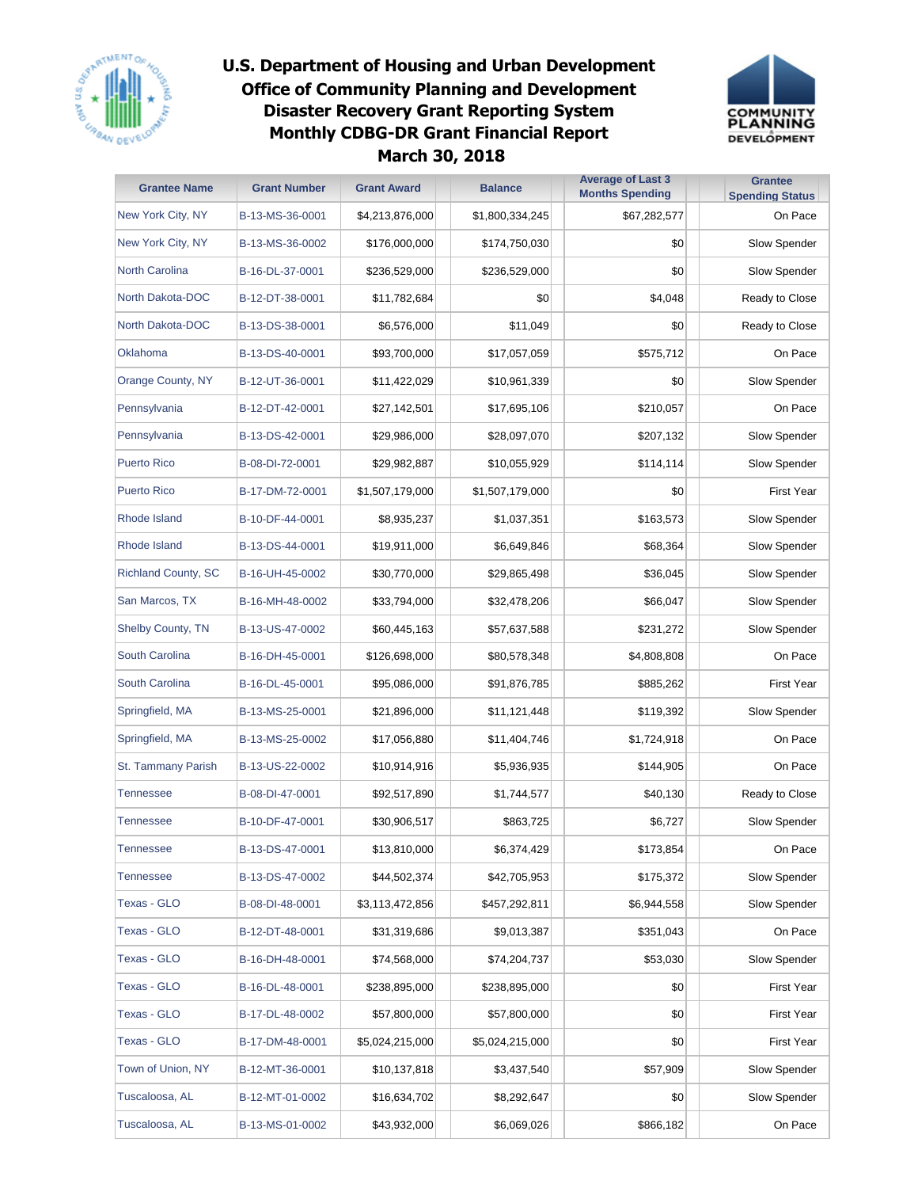



| <b>Grantee Name</b>        | <b>Grant Number</b> | <b>Grant Award</b> | <b>Balance</b>  | <b>Average of Last 3</b><br><b>Months Spending</b> | <b>Grantee</b><br><b>Spending Status</b> |
|----------------------------|---------------------|--------------------|-----------------|----------------------------------------------------|------------------------------------------|
| New York City, NY          | B-13-MS-36-0001     | \$4,213,876,000    | \$1,800,334,245 | \$67,282,577                                       | On Pace                                  |
| New York City, NY          | B-13-MS-36-0002     | \$176,000,000      | \$174,750,030   | \$0                                                | Slow Spender                             |
| <b>North Carolina</b>      | B-16-DL-37-0001     | \$236,529,000      | \$236,529,000   | \$0                                                | Slow Spender                             |
| North Dakota-DOC           | B-12-DT-38-0001     | \$11,782,684       | \$0             | \$4,048                                            | Ready to Close                           |
| North Dakota-DOC           | B-13-DS-38-0001     | \$6,576,000        | \$11,049        | \$0                                                | Ready to Close                           |
| Oklahoma                   | B-13-DS-40-0001     | \$93,700,000       | \$17,057,059    | \$575,712                                          | On Pace                                  |
| Orange County, NY          | B-12-UT-36-0001     | \$11,422,029       | \$10,961,339    | \$0                                                | Slow Spender                             |
| Pennsylvania               | B-12-DT-42-0001     | \$27,142,501       | \$17,695,106    | \$210,057                                          | On Pace                                  |
| Pennsylvania               | B-13-DS-42-0001     | \$29,986,000       | \$28,097,070    | \$207,132                                          | Slow Spender                             |
| <b>Puerto Rico</b>         | B-08-DI-72-0001     | \$29,982,887       | \$10,055,929    | \$114,114                                          | Slow Spender                             |
| <b>Puerto Rico</b>         | B-17-DM-72-0001     | \$1,507,179,000    | \$1,507,179,000 | \$0                                                | <b>First Year</b>                        |
| Rhode Island               | B-10-DF-44-0001     | \$8,935,237        | \$1,037,351     | \$163,573                                          | Slow Spender                             |
| Rhode Island               | B-13-DS-44-0001     | \$19,911,000       | \$6,649,846     | \$68,364                                           | Slow Spender                             |
| <b>Richland County, SC</b> | B-16-UH-45-0002     | \$30,770,000       | \$29,865,498    | \$36,045                                           | Slow Spender                             |
| San Marcos, TX             | B-16-MH-48-0002     | \$33,794,000       | \$32,478,206    | \$66,047                                           | Slow Spender                             |
| <b>Shelby County, TN</b>   | B-13-US-47-0002     | \$60,445,163       | \$57,637,588    | \$231,272                                          | Slow Spender                             |
| South Carolina             | B-16-DH-45-0001     | \$126,698,000      | \$80,578,348    | \$4,808,808                                        | On Pace                                  |
| South Carolina             | B-16-DL-45-0001     | \$95,086,000       | \$91,876,785    | \$885,262                                          | <b>First Year</b>                        |
| Springfield, MA            | B-13-MS-25-0001     | \$21,896,000       | \$11,121,448    | \$119,392                                          | Slow Spender                             |
| Springfield, MA            | B-13-MS-25-0002     | \$17,056,880       | \$11,404,746    | \$1,724,918                                        | On Pace                                  |
| St. Tammany Parish         | B-13-US-22-0002     | \$10,914,916       | \$5,936,935     | \$144,905                                          | On Pace                                  |
| <b>Tennessee</b>           | B-08-DI-47-0001     | \$92,517,890       | \$1,744,577     | \$40,130                                           | Ready to Close                           |
| <b>Tennessee</b>           | B-10-DF-47-0001     | \$30,906,517       | \$863,725       | \$6,727                                            | Slow Spender                             |
| Tennessee                  | B-13-DS-47-0001     | \$13,810,000       | \$6,374,429     | \$173,854                                          | On Pace                                  |
| <b>Tennessee</b>           | B-13-DS-47-0002     | \$44,502,374       | \$42,705,953    | \$175,372                                          | Slow Spender                             |
| <b>Texas - GLO</b>         | B-08-DI-48-0001     | \$3,113,472,856    | \$457,292,811   | \$6,944,558                                        | Slow Spender                             |
| <b>Texas - GLO</b>         | B-12-DT-48-0001     | \$31,319,686       | \$9,013,387     | \$351,043                                          | On Pace                                  |
| Texas - GLO                | B-16-DH-48-0001     | \$74,568,000       | \$74,204,737    | \$53,030                                           | Slow Spender                             |
| Texas - GLO                | B-16-DL-48-0001     | \$238,895,000      | \$238,895,000   | \$0                                                | <b>First Year</b>                        |
| Texas - GLO                | B-17-DL-48-0002     | \$57,800,000       | \$57,800,000    | \$0                                                | <b>First Year</b>                        |
| Texas - GLO                | B-17-DM-48-0001     | \$5,024,215,000    | \$5,024,215,000 | \$0                                                | <b>First Year</b>                        |
| Town of Union, NY          | B-12-MT-36-0001     | \$10,137,818       | \$3,437,540     | \$57,909                                           | Slow Spender                             |
| Tuscaloosa, AL             | B-12-MT-01-0002     | \$16,634,702       | \$8,292,647     | \$0                                                | Slow Spender                             |
| Tuscaloosa, AL             | B-13-MS-01-0002     | \$43,932,000       | \$6,069,026     | \$866,182                                          | On Pace                                  |